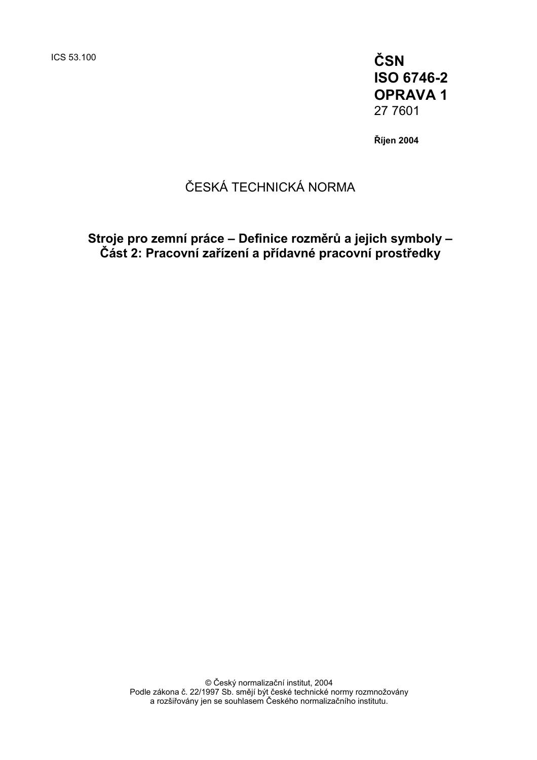ICS 53.100 **ČSN ISO 6746-2 OPRAVA 1**  27 7601

**Říjen 2004** 

# ČESKÁ TECHNICKÁ NORMA

**Stroje pro zemní práce – Definice rozměrů a jejich symboly – Část 2: Pracovní zařízení a přídavné pracovní prostředky**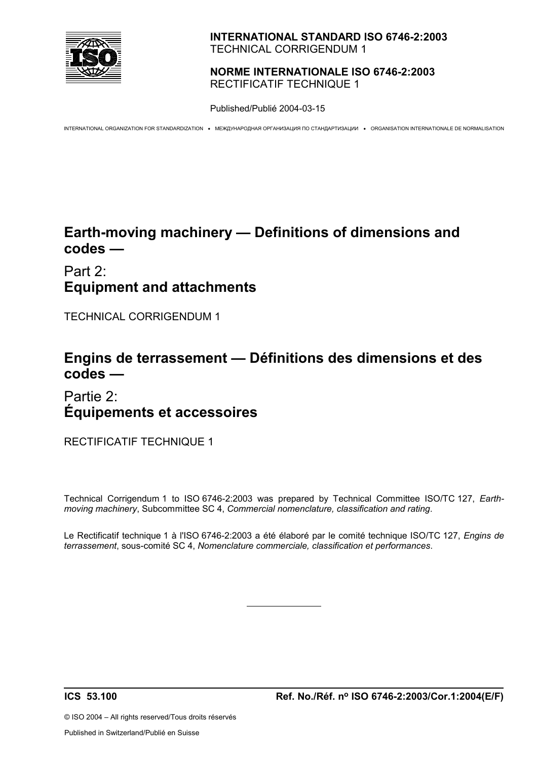

#### **INTERNATIONAL STANDARD ISO 6746-2:2003**  TECHNICAL CORRIGENDUM 1

#### **NORME INTERNATIONALE ISO 6746-2:2003**  RECTIFICATIF TECHNIQUE 1

Published/Publié 2004-03-15

INTERNATIONAL ORGANIZATION FOR STANDARDIZATION • МЕЖДУНАРОДНАЯ ОРГАНИЗАЦИЯ ПО СТАНДАРТИЗАЦИИ • ORGANISATION INTERNATIONALE DE NORMALISATION

## **Earth-moving machinery — Definitions of dimensions and codes —**

# Part 2: **Equipment and attachments**

TECHNICAL CORRIGENDUM 1

## **Engins de terrassement — Définitions des dimensions et des codes —**

## Partie 2: **Équipements et accessoires**

RECTIFICATIF TECHNIQUE 1

Technical Corrigendum 1 to ISO 6746-2:2003 was prepared by Technical Committee ISO/TC 127, *Earthmoving machinery*, Subcommittee SC 4, *Commercial nomenclature, classification and rating*.

Le Rectificatif technique 1 à l'ISO 6746-2:2003 a été élaboré par le comité technique ISO/TC 127, *Engins de terrassement*, sous-comité SC 4, *Nomenclature commerciale, classification et performances*.

 $\overline{a}$ 

© ISO 2004 – All rights reserved/Tous droits réservés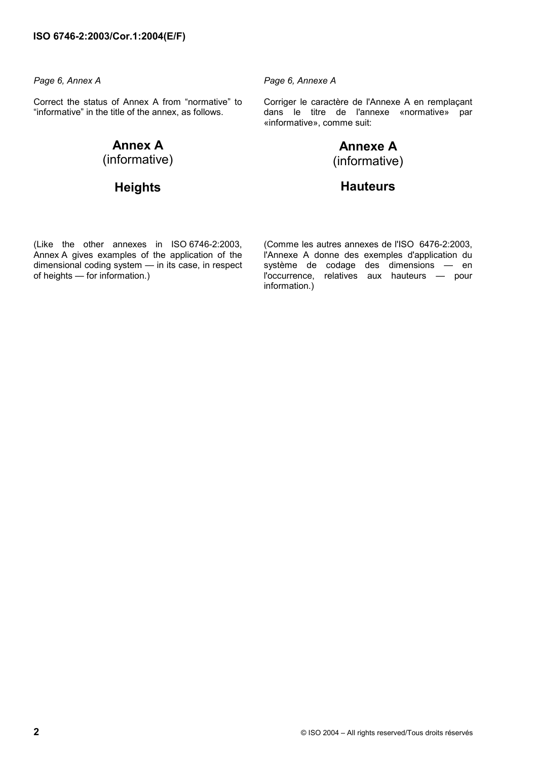Correct the status of Annex A from "normative" to "informative" in the title of the annex, as follows.

#### **Annex A**  (informative)

## **Heights**

*Page 6, Annex A Page 6, Annexe A* 

 Corriger le caractère de l'Annexe A en remplaçant dans le titre de l'annexe «normative» par «informative», comme suit:

### **Annexe A** (informative)

#### **Hauteurs**

(Like the other annexes in ISO 6746-2:2003, Annex A gives examples of the application of the dimensional coding system — in its case, in respect of heights — for information.)

 (Comme les autres annexes de l'ISO 6476-2:2003, l'Annexe A donne des exemples d'application du système de codage des dimensions — en l'occurrence, relatives aux hauteurs — pour information.)